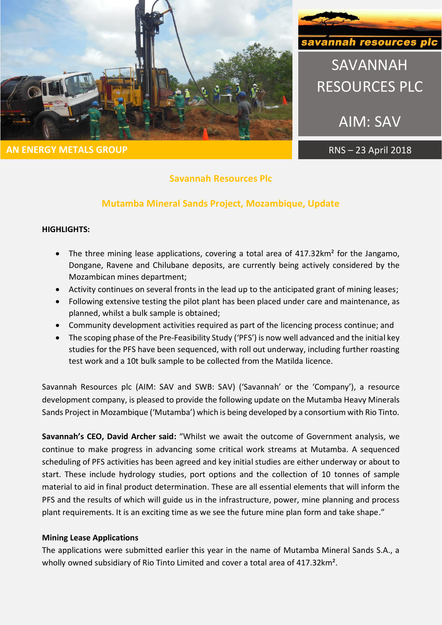

**AN ENERGY METALS GROUP RNS** – 23 April 2018



SAVANNAH

RESOURCES PLC

AIM: SAV

# **Savannah Resources Plc**

## **Mutamba Mineral Sands Project, Mozambique, Update**

#### **HIGHLIGHTS:**

- The three mining lease applications, covering a total area of 417.32km<sup>2</sup> for the Jangamo, Dongane, Ravene and Chilubane deposits, are currently being actively considered by the Mozambican mines department;
- Activity continues on several fronts in the lead up to the anticipated grant of mining leases;
- Following extensive testing the pilot plant has been placed under care and maintenance, as planned, whilst a bulk sample is obtained;
- Community development activities required as part of the licencing process continue; and
- The scoping phase of the Pre-Feasibility Study ('PFS') is now well advanced and the initial key studies for the PFS have been sequenced, with roll out underway, including further roasting test work and a 10t bulk sample to be collected from the Matilda licence.

Savannah Resources plc (AIM: SAV and SWB: SAV) ('Savannah' or the 'Company'), a resource development company, is pleased to provide the following update on the Mutamba Heavy Minerals Sands Project in Mozambique ('Mutamba') which is being developed by a consortium with Rio Tinto.

**Savannah's CEO, David Archer said:** "Whilst we await the outcome of Government analysis, we continue to make progress in advancing some critical work streams at Mutamba. A sequenced scheduling of PFS activities has been agreed and key initial studies are either underway or about to start. These include hydrology studies, port options and the collection of 10 tonnes of sample material to aid in final product determination. These are all essential elements that will inform the PFS and the results of which will guide us in the infrastructure, power, mine planning and process plant requirements. It is an exciting time as we see the future mine plan form and take shape."

## **Mining Lease Applications**

The applications were submitted earlier this year in the name of Mutamba Mineral Sands S.A., a wholly owned subsidiary of Rio Tinto Limited and cover a total area of 417.32km².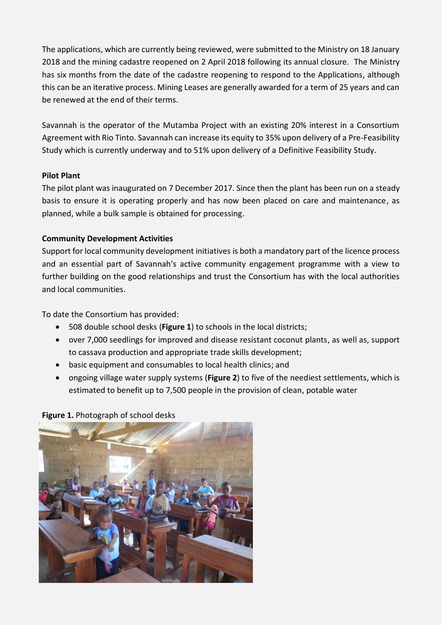The applications, which are currently being reviewed, were submitted to the Ministry on 18 January 2018 and the mining cadastre reopened on 2 April 2018 following its annual closure. The Ministry has six months from the date of the cadastre reopening to respond to the Applications, although this can be an iterative process. Mining Leases are generally awarded for a term of 25 years and can be renewed at the end of their terms.

Savannah is the operator of the Mutamba Project with an existing 20% interest in a Consortium Agreement with Rio Tinto. Savannah can increase its equity to 35% upon delivery of a Pre-Feasibility Study which is currently underway and to 51% upon delivery of a Definitive Feasibility Study.

#### **Pilot Plant**

The pilot plant was inaugurated on 7 December 2017. Since then the plant has been run on a steady basis to ensure it is operating properly and has now been placed on care and maintenance, as planned, while a bulk sample is obtained for processing.

## **Community Development Activities**

Support for local community development initiatives is both a mandatory part of the licence process and an essential part of Savannah's active community engagement programme with a view to further building on the good relationships and trust the Consortium has with the local authorities and local communities.

To date the Consortium has provided:

- 508 double school desks (**Figure 1**) to schools in the local districts;
- over 7,000 seedlings for improved and disease resistant coconut plants, as well as, support to cassava production and appropriate trade skills development;
- basic equipment and consumables to local health clinics; and
- ongoing village water supply systems (**Figure 2**) to five of the neediest settlements, which is estimated to benefit up to 7,500 people in the provision of clean, potable water

**Figure 1.** Photograph of school desks

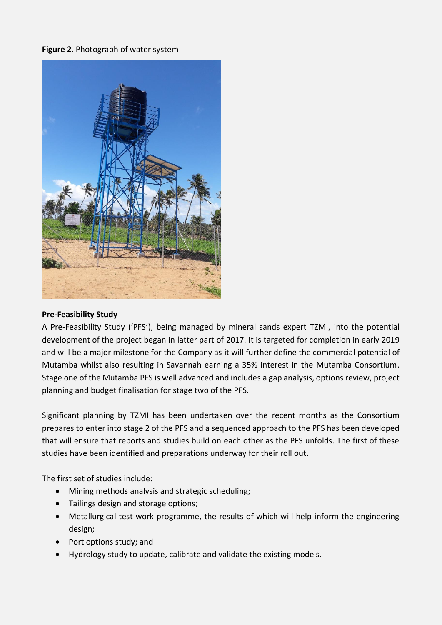#### **Figure 2.** Photograph of water system



#### **Pre-Feasibility Study**

A Pre-Feasibility Study ('PFS'), being managed by mineral sands expert TZMI, into the potential development of the project began in latter part of 2017. It is targeted for completion in early 2019 and will be a major milestone for the Company as it will further define the commercial potential of Mutamba whilst also resulting in Savannah earning a 35% interest in the Mutamba Consortium. Stage one of the Mutamba PFS is well advanced and includes a gap analysis, options review, project planning and budget finalisation for stage two of the PFS.

Significant planning by TZMI has been undertaken over the recent months as the Consortium prepares to enter into stage 2 of the PFS and a sequenced approach to the PFS has been developed that will ensure that reports and studies build on each other as the PFS unfolds. The first of these studies have been identified and preparations underway for their roll out.

The first set of studies include:

- Mining methods analysis and strategic scheduling;
- Tailings design and storage options;
- Metallurgical test work programme, the results of which will help inform the engineering design;
- Port options study; and
- Hydrology study to update, calibrate and validate the existing models.